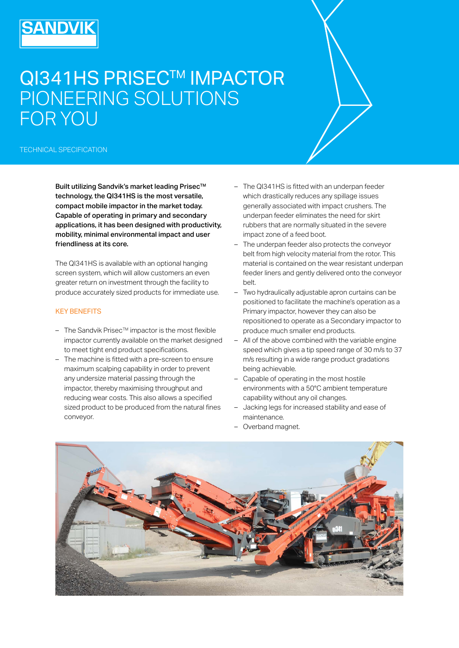## QI341HS PRISEC™ IMPACTOR PIONEERING SOLUTIONS FOR YOU

TECHNICAL SPECIFICATION

SANDVIK

Built utilizing Sandvik's market leading Prisec™ technology, the QI341HS is the most versatile, compact mobile impactor in the market today. Capable of operating in primary and secondary applications, it has been designed with productivity, mobility, minimal environmental impact and user friendliness at its core.

The QI341HS is available with an optional hanging screen system, which will allow customers an even greater return on investment through the facility to produce accurately sized products for immediate use.

## KEY BENEFITS

- $-$  The Sandvik Prisec<sup>TM</sup> impactor is the most flexible impactor currently available on the market designed to meet tight end product specifications.
- The machine is fitted with a pre-screen to ensure maximum scalping capability in order to prevent any undersize material passing through the impactor, thereby maximising throughput and reducing wear costs. This also allows a specified sized product to be produced from the natural fines conveyor.
- The QI341HS is fitted with an underpan feeder which drastically reduces any spillage issues generally associated with impact crushers. The underpan feeder eliminates the need for skirt rubbers that are normally situated in the severe impact zone of a feed boot.
- The underpan feeder also protects the convevor belt from high velocity material from the rotor. This material is contained on the wear resistant underpan feeder liners and gently delivered onto the conveyor belt.
- Two hydraulically adjustable apron curtains can be positioned to facilitate the machine's operation as a Primary impactor, however they can also be repositioned to operate as a Secondary impactor to produce much smaller end products.
- All of the above combined with the variable engine speed which gives a tip speed range of 30 m/s to 37 m/s resulting in a wide range product gradations being achievable.
- Capable of operating in the most hostile environments with a 50°C ambient temperature capability without any oil changes.
- Jacking legs for increased stability and ease of maintenance.
- Overband magnet.